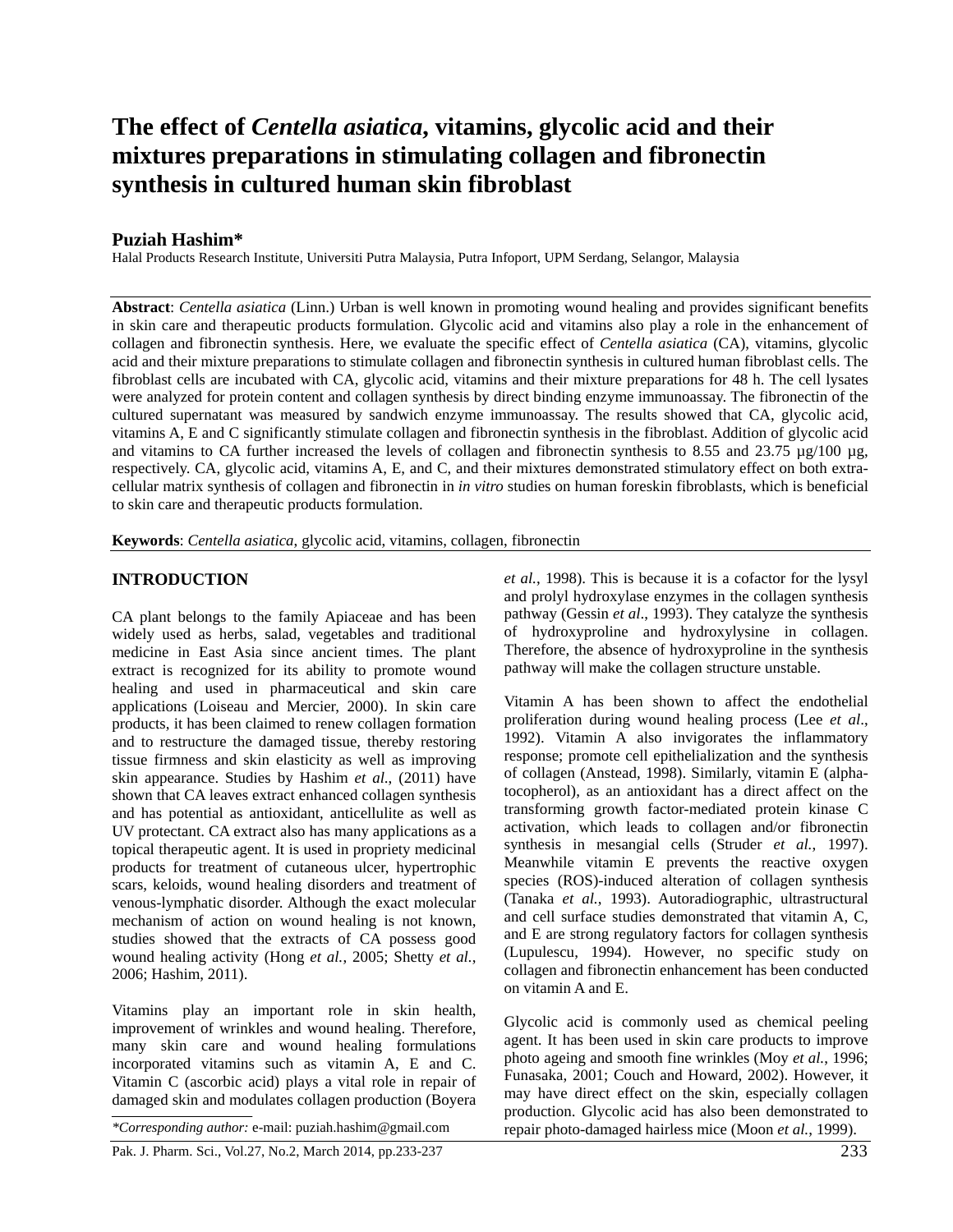# **The effect of** *Centella asiatica***, vitamins, glycolic acid and their mixtures preparations in stimulating collagen and fibronectin synthesis in cultured human skin fibroblast**

#### **Puziah Hashim\***

Halal Products Research Institute, Universiti Putra Malaysia, Putra Infoport, UPM Serdang, Selangor, Malaysia

**Abstract**: *Centella asiatica* (Linn.) Urban is well known in promoting wound healing and provides significant benefits in skin care and therapeutic products formulation. Glycolic acid and vitamins also play a role in the enhancement of collagen and fibronectin synthesis. Here, we evaluate the specific effect of *Centella asiatica* (CA), vitamins, glycolic acid and their mixture preparations to stimulate collagen and fibronectin synthesis in cultured human fibroblast cells. The fibroblast cells are incubated with CA, glycolic acid, vitamins and their mixture preparations for 48 h. The cell lysates were analyzed for protein content and collagen synthesis by direct binding enzyme immunoassay. The fibronectin of the cultured supernatant was measured by sandwich enzyme immunoassay. The results showed that CA, glycolic acid, vitamins A, E and C significantly stimulate collagen and fibronectin synthesis in the fibroblast. Addition of glycolic acid and vitamins to CA further increased the levels of collagen and fibronectin synthesis to 8.55 and 23.75  $\mu$ g/100  $\mu$ g, respectively. CA, glycolic acid, vitamins A, E, and C, and their mixtures demonstrated stimulatory effect on both extracellular matrix synthesis of collagen and fibronectin in *in vitro* studies on human foreskin fibroblasts, which is beneficial to skin care and therapeutic products formulation.

**Keywords**: *Centella asiatica*, glycolic acid, vitamins, collagen, fibronectin

#### **INTRODUCTION**

CA plant belongs to the family Apiaceae and has been widely used as herbs, salad, vegetables and traditional medicine in East Asia since ancient times. The plant extract is recognized for its ability to promote wound healing and used in pharmaceutical and skin care applications (Loiseau and Mercier, 2000). In skin care products, it has been claimed to renew collagen formation and to restructure the damaged tissue, thereby restoring tissue firmness and skin elasticity as well as improving skin appearance. Studies by Hashim *et al*., (2011) have shown that CA leaves extract enhanced collagen synthesis and has potential as antioxidant, anticellulite as well as UV protectant. CA extract also has many applications as a topical therapeutic agent. It is used in propriety medicinal products for treatment of cutaneous ulcer, hypertrophic scars, keloids, wound healing disorders and treatment of venous-lymphatic disorder. Although the exact molecular mechanism of action on wound healing is not known, studies showed that the extracts of CA possess good wound healing activity (Hong *et al.*, 2005; Shetty *et al.*, 2006; Hashim, 2011).

Vitamins play an important role in skin health, improvement of wrinkles and wound healing. Therefore, many skin care and wound healing formulations incorporated vitamins such as vitamin A, E and C. Vitamin C (ascorbic acid) plays a vital role in repair of damaged skin and modulates collagen production (Boyera

Pak. J. Pharm. Sci., Vol.27, No.2, March 2014, pp.233-237 233

*et al.*, 1998). This is because it is a cofactor for the lysyl and prolyl hydroxylase enzymes in the collagen synthesis pathway (Gessin *et al*., 1993). They catalyze the synthesis of hydroxyproline and hydroxylysine in collagen. Therefore, the absence of hydroxyproline in the synthesis pathway will make the collagen structure unstable.

Vitamin A has been shown to affect the endothelial proliferation during wound healing process (Lee *et al*., 1992). Vitamin A also invigorates the inflammatory response; promote cell epithelialization and the synthesis of collagen (Anstead, 1998). Similarly, vitamin E (alphatocopherol), as an antioxidant has a direct affect on the transforming growth factor-mediated protein kinase C activation, which leads to collagen and/or fibronectin synthesis in mesangial cells (Struder *et al.*, 1997). Meanwhile vitamin E prevents the reactive oxygen species (ROS)-induced alteration of collagen synthesis (Tanaka *et al.*, 1993). Autoradiographic, ultrastructural and cell surface studies demonstrated that vitamin A, C, and E are strong regulatory factors for collagen synthesis (Lupulescu, 1994). However, no specific study on collagen and fibronectin enhancement has been conducted on vitamin A and E.

Glycolic acid is commonly used as chemical peeling agent. It has been used in skin care products to improve photo ageing and smooth fine wrinkles (Moy *et al.*, 1996; Funasaka, 2001; Couch and Howard, 2002). However, it may have direct effect on the skin, especially collagen production. Glycolic acid has also been demonstrated to *\*Corresponding author:* e-mail: puziah.hashim@gmail.com repair photo-damaged hairless mice (Moon *et al.*, 1999).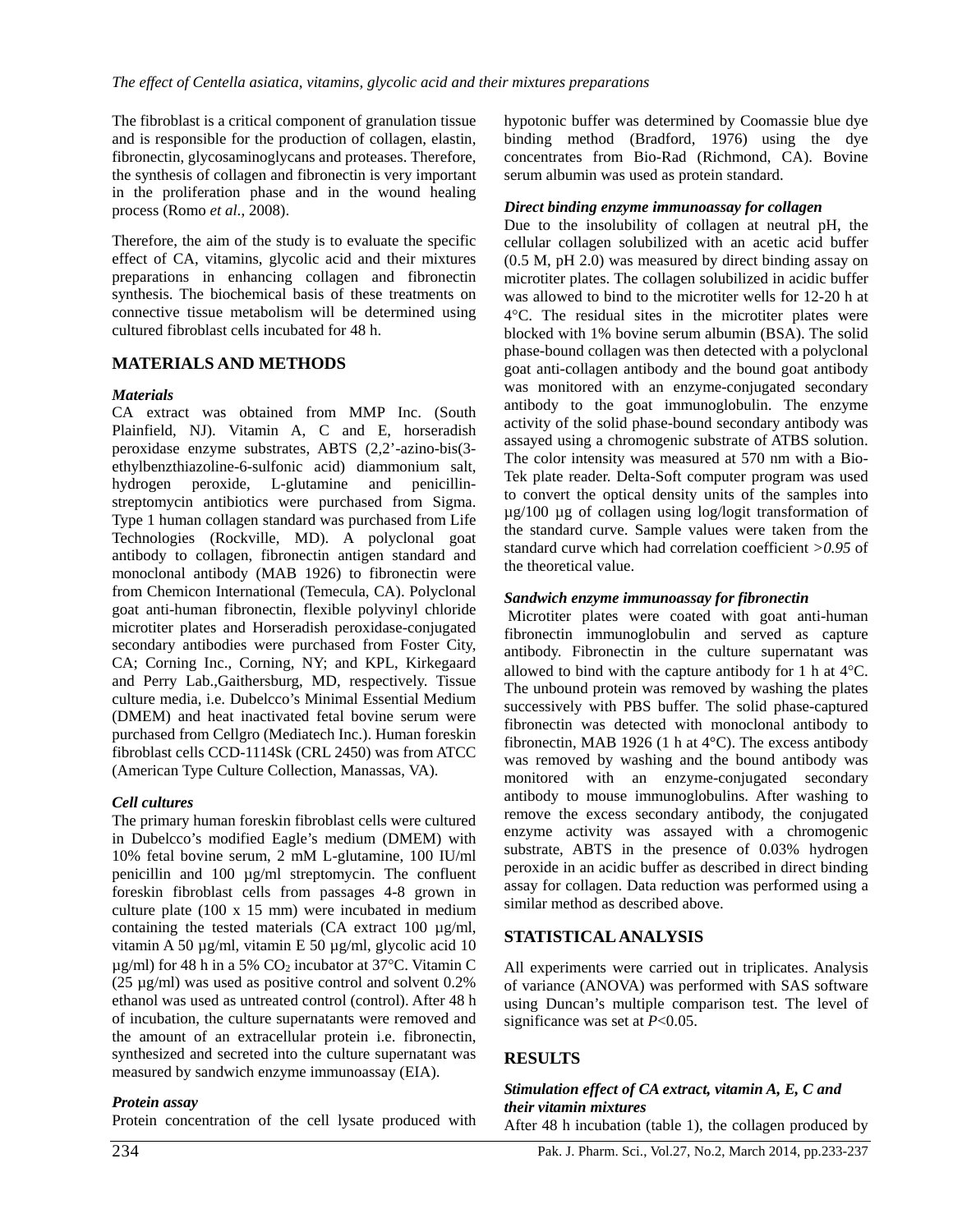The fibroblast is a critical component of granulation tissue and is responsible for the production of collagen, elastin, fibronectin, glycosaminoglycans and proteases. Therefore, the synthesis of collagen and fibronectin is very important in the proliferation phase and in the wound healing process (Romo *et al*., 2008).

Therefore, the aim of the study is to evaluate the specific effect of CA, vitamins, glycolic acid and their mixtures preparations in enhancing collagen and fibronectin synthesis. The biochemical basis of these treatments on connective tissue metabolism will be determined using cultured fibroblast cells incubated for 48 h.

### **MATERIALS AND METHODS**

### *Materials*

CA extract was obtained from MMP Inc. (South Plainfield, NJ). Vitamin A, C and E, horseradish peroxidase enzyme substrates, ABTS (2,2'-azino-bis(3 ethylbenzthiazoline-6-sulfonic acid) diammonium salt, hydrogen peroxide, L-glutamine and penicillinstreptomycin antibiotics were purchased from Sigma. Type 1 human collagen standard was purchased from Life Technologies (Rockville, MD). A polyclonal goat antibody to collagen, fibronectin antigen standard and monoclonal antibody (MAB 1926) to fibronectin were from Chemicon International (Temecula, CA). Polyclonal goat anti-human fibronectin, flexible polyvinyl chloride microtiter plates and Horseradish peroxidase-conjugated secondary antibodies were purchased from Foster City, CA; Corning Inc., Corning, NY; and KPL, Kirkegaard and Perry Lab.,Gaithersburg, MD, respectively. Tissue culture media, i.e. Dubelcco's Minimal Essential Medium (DMEM) and heat inactivated fetal bovine serum were purchased from Cellgro (Mediatech Inc.). Human foreskin fibroblast cells CCD-1114Sk (CRL 2450) was from ATCC (American Type Culture Collection, Manassas, VA).

### *Cell cultures*

The primary human foreskin fibroblast cells were cultured in Dubelcco's modified Eagle's medium (DMEM) with 10% fetal bovine serum, 2 mM L-glutamine, 100 IU/ml penicillin and 100 µg/ml streptomycin. The confluent foreskin fibroblast cells from passages 4-8 grown in culture plate (100 x 15 mm) were incubated in medium containing the tested materials (CA extract 100 µg/ml, vitamin A 50 µg/ml, vitamin E 50 µg/ml, glycolic acid 10  $\mu$ g/ml) for 48 h in a 5% CO<sub>2</sub> incubator at 37°C. Vitamin C (25 µg/ml) was used as positive control and solvent 0.2% ethanol was used as untreated control (control). After 48 h of incubation, the culture supernatants were removed and the amount of an extracellular protein i.e. fibronectin, synthesized and secreted into the culture supernatant was measured by sandwich enzyme immunoassay (EIA).

### *Protein assay*

Protein concentration of the cell lysate produced with

hypotonic buffer was determined by Coomassie blue dye binding method (Bradford, 1976) using the dye concentrates from Bio-Rad (Richmond, CA). Bovine serum albumin was used as protein standard.

### *Direct binding enzyme immunoassay for collagen*

Due to the insolubility of collagen at neutral pH, the cellular collagen solubilized with an acetic acid buffer (0.5 M, pH 2.0) was measured by direct binding assay on microtiter plates. The collagen solubilized in acidic buffer was allowed to bind to the microtiter wells for 12-20 h at 4°C. The residual sites in the microtiter plates were blocked with 1% bovine serum albumin (BSA). The solid phase-bound collagen was then detected with a polyclonal goat anti-collagen antibody and the bound goat antibody was monitored with an enzyme-conjugated secondary antibody to the goat immunoglobulin. The enzyme activity of the solid phase-bound secondary antibody was assayed using a chromogenic substrate of ATBS solution. The color intensity was measured at 570 nm with a Bio-Tek plate reader. Delta-Soft computer program was used to convert the optical density units of the samples into µg/100 µg of collagen using log/logit transformation of the standard curve. Sample values were taken from the standard curve which had correlation coefficient *>0.95* of the theoretical value.

### *Sandwich enzyme immunoassay for fibronectin*

 Microtiter plates were coated with goat anti-human fibronectin immunoglobulin and served as capture antibody. Fibronectin in the culture supernatant was allowed to bind with the capture antibody for 1 h at 4°C. The unbound protein was removed by washing the plates successively with PBS buffer. The solid phase-captured fibronectin was detected with monoclonal antibody to fibronectin, MAB 1926 (1 h at 4°C). The excess antibody was removed by washing and the bound antibody was monitored with an enzyme-conjugated secondary antibody to mouse immunoglobulins. After washing to remove the excess secondary antibody, the conjugated enzyme activity was assayed with a chromogenic substrate, ABTS in the presence of 0.03% hydrogen peroxide in an acidic buffer as described in direct binding assay for collagen. Data reduction was performed using a similar method as described above.

## **STATISTICAL ANALYSIS**

All experiments were carried out in triplicates. Analysis of variance (ANOVA) was performed with SAS software using Duncan's multiple comparison test. The level of significance was set at *P*<0.05.

### **RESULTS**

### *Stimulation effect of CA extract, vitamin A, E, C and their vitamin mixtures*

After 48 h incubation (table 1), the collagen produced by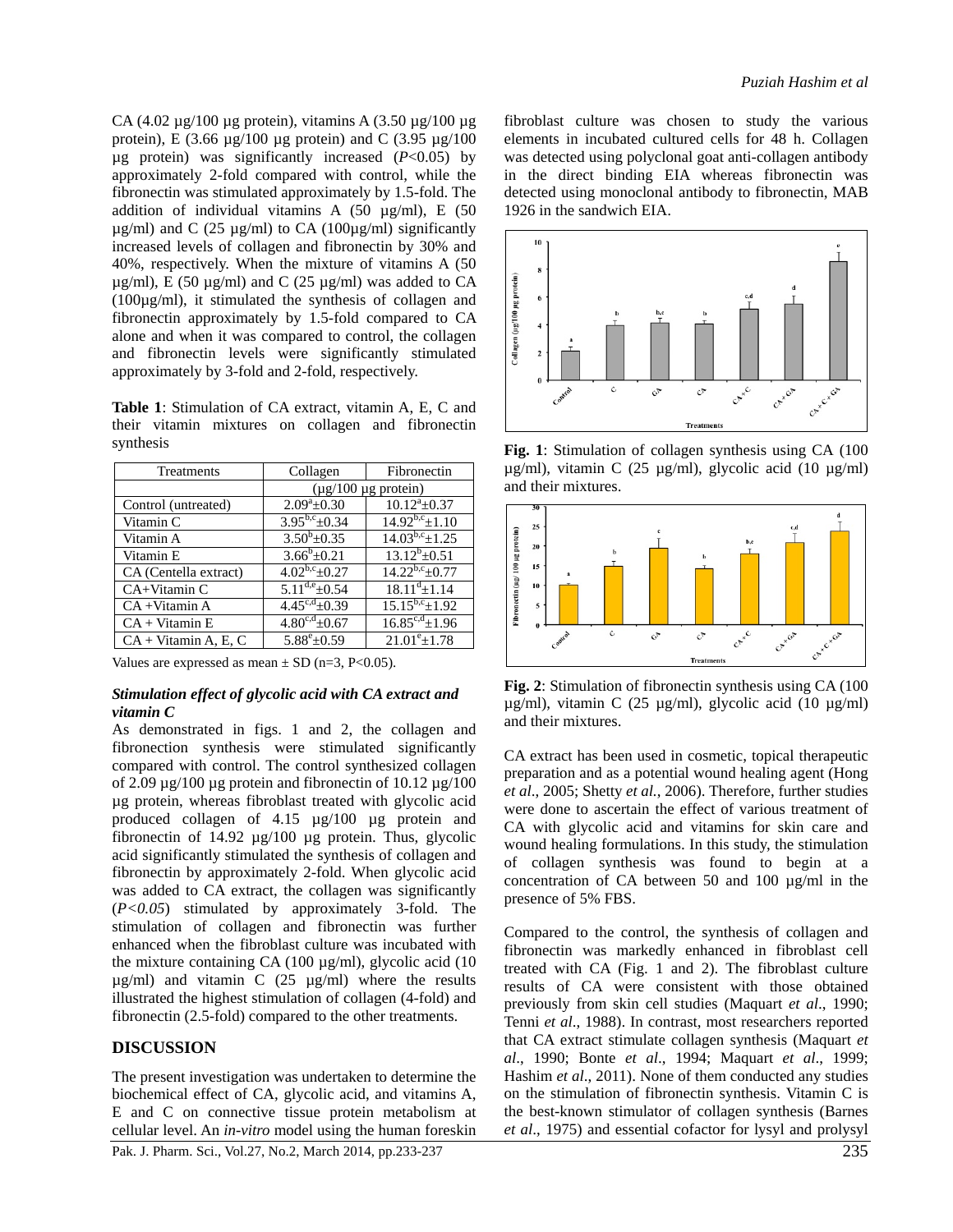CA (4.02 µg/100 µg protein), vitamins A (3.50 µg/100 µg protein), E (3.66  $\mu$ g/100  $\mu$ g protein) and C (3.95  $\mu$ g/100  $\mu$ g protein) was significantly increased ( $P < 0.05$ ) by approximately 2-fold compared with control, while the fibronectin was stimulated approximately by 1.5-fold. The addition of individual vitamins A  $(50 \text{ µg/ml})$ , E  $(50 \text{ µg/ml})$  $\mu$ g/ml) and C (25  $\mu$ g/ml) to CA (100 $\mu$ g/ml) significantly increased levels of collagen and fibronectin by 30% and 40%, respectively. When the mixture of vitamins A (50  $\mu$ g/ml), E (50  $\mu$ g/ml) and C (25  $\mu$ g/ml) was added to CA (100µg/ml), it stimulated the synthesis of collagen and fibronectin approximately by 1.5-fold compared to CA alone and when it was compared to control, the collagen and fibronectin levels were significantly stimulated approximately by 3-fold and 2-fold, respectively.

**Table 1**: Stimulation of CA extract, vitamin A, E, C and their vitamin mixtures on collagen and fibronectin synthesis

| Treatments             | Collagen                      | Fibronectin            |
|------------------------|-------------------------------|------------------------|
|                        | $(\mu$ g/100 $\mu$ g protein) |                        |
| Control (untreated)    | $2.09^a \pm 0.30$             | $10.12^a \pm 0.37$     |
| Vitamin C              | $3.95^{b,c} \pm 0.34$         | $14.92^{b,c} \pm 1.10$ |
| Vitamin A              | $3.50^b \pm 0.35$             | $14.03^{b,c}$ ± 1.25   |
| Vitamin E              | $3.66^b \pm 0.21$             | $13.12^{b} + 0.51$     |
| CA (Centella extract)  | $4.02^{b,c} + 0.27$           | $14.22^{b,c}+0.77$     |
| CA+Vitamin C           | $5.11^{d,e}$ + 0.54           | $18.11^{d}$ ± 1.14     |
| $CA + V$ itamin A      | $4.45^{c,d} \pm 0.39$         | $15.15^{b,c} \pm 1.92$ |
| $CA + V$ itamin E      | $4.80^{c,d}$ + 0.67           | $16.85^{c,d}$ ± 1.96   |
| $CA + Vitamin A. E. C$ | $5.88^{\rm e}{+0.59}$         | $21.01^{\circ}+1.78$   |

Values are expressed as mean  $\pm$  SD (n=3, P<0.05).

#### *Stimulation effect of glycolic acid with CA extract and vitamin C*

As demonstrated in figs. 1 and 2, the collagen and fibronection synthesis were stimulated significantly compared with control. The control synthesized collagen of 2.09  $\mu$ g/100  $\mu$ g protein and fibronectin of 10.12  $\mu$ g/100 µg protein, whereas fibroblast treated with glycolic acid produced collagen of 4.15 µg/100 µg protein and fibronectin of  $14.92 \mu g/100 \mu g$  protein. Thus, glycolic acid significantly stimulated the synthesis of collagen and fibronectin by approximately 2-fold. When glycolic acid was added to CA extract, the collagen was significantly (*P<0.05*) stimulated by approximately 3-fold. The stimulation of collagen and fibronectin was further enhanced when the fibroblast culture was incubated with the mixture containing CA (100  $\mu$ g/ml), glycolic acid (10  $\mu$ g/ml) and vitamin C (25  $\mu$ g/ml) where the results illustrated the highest stimulation of collagen (4-fold) and fibronectin (2.5-fold) compared to the other treatments.

#### **DISCUSSION**

The present investigation was undertaken to determine the biochemical effect of CA, glycolic acid, and vitamins A, E and C on connective tissue protein metabolism at cellular level. An *in-vitro* model using the human foreskin

Pak. J. Pharm. Sci., Vol.27, No.2, March 2014, pp.233-237 235

fibroblast culture was chosen to study the various elements in incubated cultured cells for 48 h. Collagen was detected using polyclonal goat anti-collagen antibody in the direct binding EIA whereas fibronectin was detected using monoclonal antibody to fibronectin, MAB 1926 in the sandwich EIA.



**Fig. 1**: Stimulation of collagen synthesis using CA (100 µg/ml), vitamin C (25 µg/ml), glycolic acid (10 µg/ml) and their mixtures.



**Fig. 2**: Stimulation of fibronectin synthesis using CA (100 µg/ml), vitamin C (25 µg/ml), glycolic acid (10 µg/ml) and their mixtures.

CA extract has been used in cosmetic, topical therapeutic preparation and as a potential wound healing agent (Hong *et al*., 2005; Shetty *et al.*, 2006). Therefore, further studies were done to ascertain the effect of various treatment of CA with glycolic acid and vitamins for skin care and wound healing formulations. In this study, the stimulation of collagen synthesis was found to begin at a concentration of CA between 50 and 100 µg/ml in the presence of 5% FBS.

Compared to the control, the synthesis of collagen and fibronectin was markedly enhanced in fibroblast cell treated with CA (Fig. 1 and 2). The fibroblast culture results of CA were consistent with those obtained previously from skin cell studies (Maquart *et al*., 1990; Tenni *et al*., 1988). In contrast, most researchers reported that CA extract stimulate collagen synthesis (Maquart *et al*., 1990; Bonte *et al*., 1994; Maquart *et al*., 1999; Hashim *et al*., 2011). None of them conducted any studies on the stimulation of fibronectin synthesis. Vitamin C is the best-known stimulator of collagen synthesis (Barnes *et al*., 1975) and essential cofactor for lysyl and prolysyl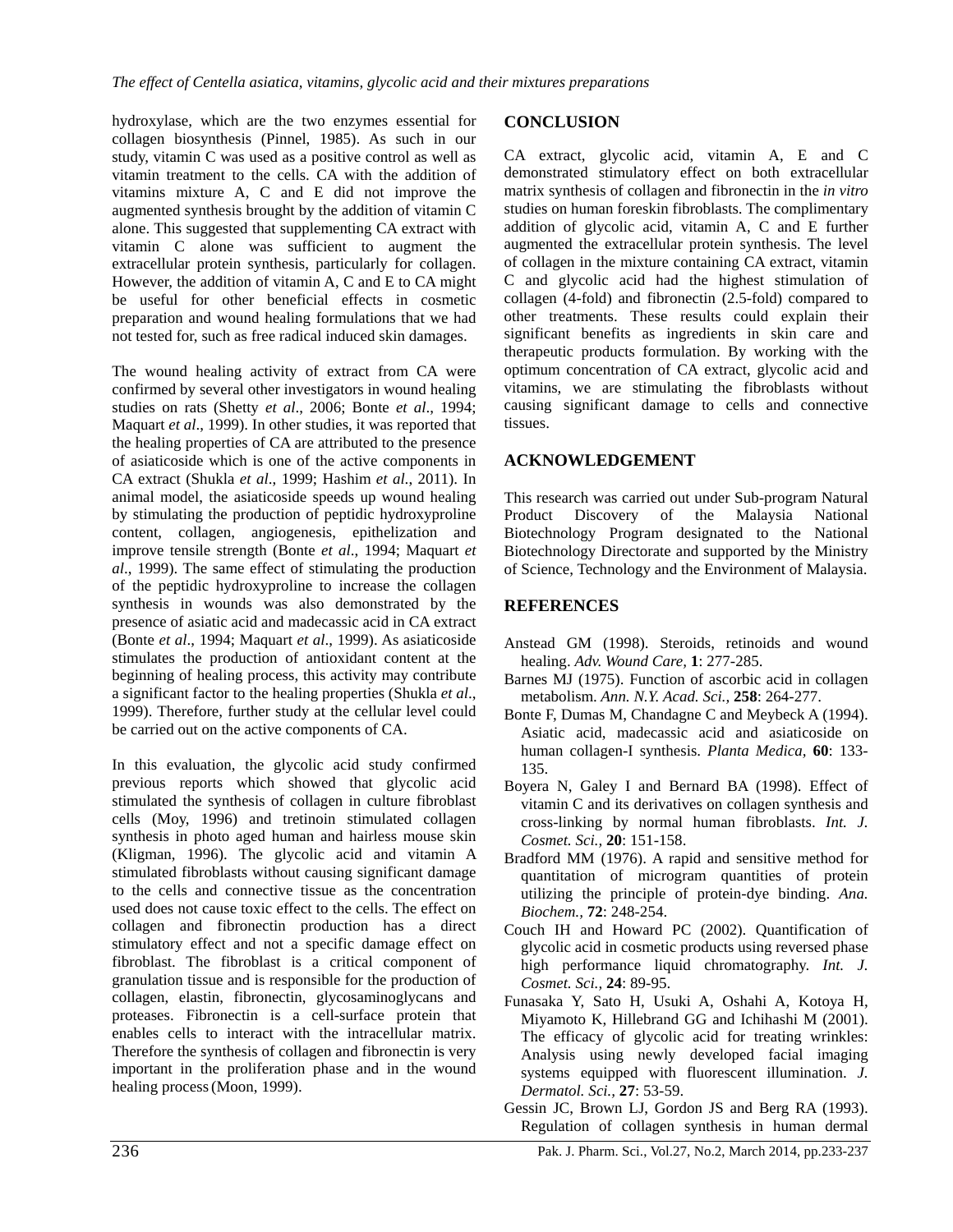hydroxylase, which are the two enzymes essential for collagen biosynthesis (Pinnel, 1985). As such in our study, vitamin C was used as a positive control as well as vitamin treatment to the cells. CA with the addition of vitamins mixture A, C and E did not improve the augmented synthesis brought by the addition of vitamin C alone. This suggested that supplementing CA extract with vitamin C alone was sufficient to augment the extracellular protein synthesis, particularly for collagen. However, the addition of vitamin A, C and E to CA might be useful for other beneficial effects in cosmetic preparation and wound healing formulations that we had not tested for, such as free radical induced skin damages.

The wound healing activity of extract from CA were confirmed by several other investigators in wound healing studies on rats (Shetty *et al*., 2006; Bonte *et al*., 1994; Maquart *et al*., 1999). In other studies, it was reported that the healing properties of CA are attributed to the presence of asiaticoside which is one of the active components in CA extract (Shukla *et al*., 1999; Hashim *et al*., 2011). In animal model, the asiaticoside speeds up wound healing by stimulating the production of peptidic hydroxyproline content, collagen, angiogenesis, epithelization and improve tensile strength (Bonte *et al*., 1994; Maquart *et al*., 1999). The same effect of stimulating the production of the peptidic hydroxyproline to increase the collagen synthesis in wounds was also demonstrated by the presence of asiatic acid and madecassic acid in CA extract (Bonte *et al*., 1994; Maquart *et al*., 1999). As asiaticoside stimulates the production of antioxidant content at the beginning of healing process, this activity may contribute a significant factor to the healing properties (Shukla *et al*., 1999). Therefore, further study at the cellular level could be carried out on the active components of CA.

In this evaluation, the glycolic acid study confirmed previous reports which showed that glycolic acid stimulated the synthesis of collagen in culture fibroblast cells (Moy, 1996) and tretinoin stimulated collagen synthesis in photo aged human and hairless mouse skin (Kligman, 1996). The glycolic acid and vitamin A stimulated fibroblasts without causing significant damage to the cells and connective tissue as the concentration used does not cause toxic effect to the cells. The effect on collagen and fibronectin production has a direct stimulatory effect and not a specific damage effect on fibroblast. The fibroblast is a critical component of granulation tissue and is responsible for the production of collagen, elastin, fibronectin, glycosaminoglycans and proteases. Fibronectin is a cell-surface protein that enables cells to interact with the intracellular matrix. Therefore the synthesis of collagen and fibronectin is very important in the proliferation phase and in the wound healing process(Moon, 1999).

### **CONCLUSION**

CA extract, glycolic acid, vitamin A, E and C demonstrated stimulatory effect on both extracellular matrix synthesis of collagen and fibronectin in the *in vitro* studies on human foreskin fibroblasts. The complimentary addition of glycolic acid, vitamin A, C and E further augmented the extracellular protein synthesis. The level of collagen in the mixture containing CA extract, vitamin C and glycolic acid had the highest stimulation of collagen (4-fold) and fibronectin (2.5-fold) compared to other treatments. These results could explain their significant benefits as ingredients in skin care and therapeutic products formulation. By working with the optimum concentration of CA extract, glycolic acid and vitamins, we are stimulating the fibroblasts without causing significant damage to cells and connective tissues.

### **ACKNOWLEDGEMENT**

This research was carried out under Sub-program Natural Product Discovery of the Malaysia National Biotechnology Program designated to the National Biotechnology Directorate and supported by the Ministry of Science, Technology and the Environment of Malaysia.

### **REFERENCES**

- Anstead GM (1998). Steroids, retinoids and wound healing. *Adv. Wound Care,* **1**: 277-285.
- Barnes MJ (1975). Function of ascorbic acid in collagen metabolism. *Ann. N.Y. Acad. Sci.,* **258**: 264-277.
- Bonte F, Dumas M, Chandagne C and Meybeck A (1994). Asiatic acid, madecassic acid and asiaticoside on human collagen-I synthesis. *Planta Medica,* **60**: 133- 135.
- Boyera N, Galey I and Bernard BA (1998). Effect of vitamin C and its derivatives on collagen synthesis and cross-linking by normal human fibroblasts. *Int. J. Cosmet. Sci.,* **20**: 151-158.
- Bradford MM (1976). A rapid and sensitive method for quantitation of microgram quantities of protein utilizing the principle of protein-dye binding. *Ana. Biochem.,* **72**: 248-254.
- Couch IH and Howard PC (2002). Quantification of glycolic acid in cosmetic products using reversed phase high performance liquid chromatography. *Int. J. Cosmet. Sci.,* **24**: 89-95.
- Funasaka Y, Sato H, Usuki A, Oshahi A, Kotoya H, Miyamoto K, Hillebrand GG and Ichihashi M (2001). The efficacy of glycolic acid for treating wrinkles: Analysis using newly developed facial imaging systems equipped with fluorescent illumination. *J. Dermatol. Sci.,* **27**: 53-59.
- Gessin JC, Brown LJ, Gordon JS and Berg RA (1993). Regulation of collagen synthesis in human dermal